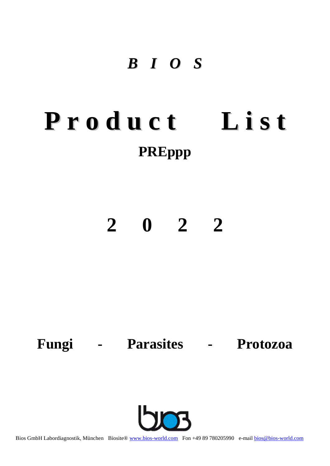## *B I O S*

# **P r o d u c t L i s t PREppp**

## **2 0 2 2**

## **Fungi - Parasites - Protozoa**



Bios GmbH Labordiagnostik, München Biosite® [www.bios-world.com](http://www.bios-world.com/) Fon +49 89 780205990 e-mai[l bios@bios-world.com](mailto:info@bios-world.com)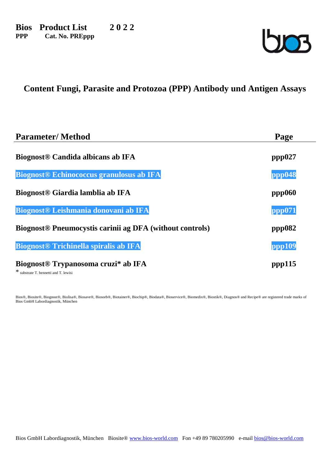**Bios Product List 2 0 2 2 PPP Cat. No. PREppp**



## **Content Fungi, Parasite and Protozoa (PPP) Antibody und Antigen Assays**

| <b>Parameter/Method</b>                                                    | Page   |
|----------------------------------------------------------------------------|--------|
| <b>Biognost® Candida albicans ab IFA</b>                                   | ppp027 |
| <b>Biognost® Echinococcus granulosus ab IFA</b>                            | ppp048 |
| Biognost <sup>®</sup> Giardia lamblia ab IFA                               | ppp060 |
| Biognost <sup>®</sup> Leishmania donovani ab IFA                           | ppp071 |
| <b>Biognost<sup>®</sup> Pneumocystis carinii ag DFA</b> (without controls) | ppp082 |
| <b>Biognost<sup>®</sup></b> Trichinella spiralis ab IFA                    | ppp109 |
| Biognost <sup>®</sup> Trypanosoma cruzi* ab IFA                            | ppp115 |

\* substrate T. bennetti and T. lewisi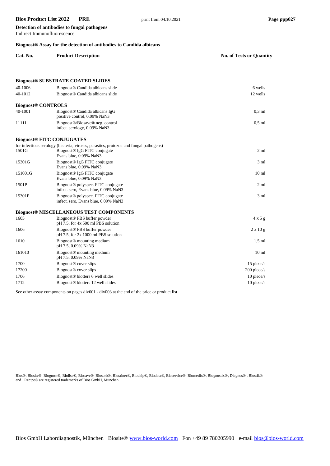**Detection of antibodies to fungal pathogens**

| Indirect Immunofluorescence<br>Biognost <sup>®</sup> Assay for the detection of antibodies to Candida albicans |                                                                                        |                  |  |
|----------------------------------------------------------------------------------------------------------------|----------------------------------------------------------------------------------------|------------------|--|
|                                                                                                                |                                                                                        |                  |  |
|                                                                                                                |                                                                                        |                  |  |
|                                                                                                                | <b>Biognost® SUBSTRATE COATED SLIDES</b>                                               |                  |  |
| 40-1006                                                                                                        | Biognost <sup>®</sup> Candida albicans slide                                           | 6 wells          |  |
| 40-1012                                                                                                        | Biognost <sup>®</sup> Candida albicans slide                                           | 12 wells         |  |
| <b>Biognost® CONTROLS</b>                                                                                      |                                                                                        |                  |  |
| 40-1001                                                                                                        | Biognost <sup>®</sup> Candida albicans IgG<br>positive control, 0.09% NaN3             | $0,3$ ml         |  |
| 1111I                                                                                                          | Biognost®/Biosave® neg. control<br>infect. serology, 0.09% NaN3                        | $0,5$ ml         |  |
|                                                                                                                | <b>Biognost® FITC CONJUGATES</b>                                                       |                  |  |
|                                                                                                                | for infectious serology (bacteria, viruses, parasites, protozoa and fungal pathogens)  |                  |  |
| 1501G                                                                                                          | Biognost <sup>®</sup> IgG FITC conjugate<br>Evans blue, 0.09% NaN3                     | $2 \text{ ml}$   |  |
| 15301G                                                                                                         | Biognost <sup>®</sup> IgG FITC conjugate<br>Evans blue, 0.09% NaN3                     | 3 <sub>ml</sub>  |  |
| 151001G                                                                                                        | Biognost <sup>®</sup> IgG FITC conjugate<br>Evans blue, 0.09% NaN3                     | 10 <sub>ml</sub> |  |
| 1501P                                                                                                          | Biognost <sup>®</sup> polyspec. FITC conjugate<br>infect. sero, Evans blue, 0.09% NaN3 | 2 <sub>ml</sub>  |  |
| 15301P                                                                                                         | Biognost <sup>®</sup> polyspec. FITC conjugate<br>infect. sero, Evans blue, 0.09% NaN3 | 3 <sub>ml</sub>  |  |
|                                                                                                                | <b>Biognost® MISCELLANEOUS TEST COMPONENTS</b>                                         |                  |  |
| 1605                                                                                                           | Biognost <sup>®</sup> PBS buffer powder<br>$pH$ 7.5, for 4x 500 ml PBS solution        | 4x5g             |  |
| 1606                                                                                                           | Biognost <sup>®</sup> PBS buffer powder<br>pH 7.5, for 2x 1000 ml PBS solution         | $2 \times 10$ g  |  |
| 1610                                                                                                           | Biognost <sup>®</sup> mounting medium<br>pH 7.5, 0.09% NaN3                            | $1.5$ ml         |  |
| 161010                                                                                                         | Biognost <sup>®</sup> mounting medium<br>pH 7.5, 0.09% NaN3                            | 10 <sub>ml</sub> |  |
| 1700                                                                                                           | Biognost <sup>®</sup> cover slips                                                      | 15 piece/s       |  |
| 17200                                                                                                          | Biognost <sup>®</sup> cover slips                                                      | 200 piece/s      |  |
| 1706                                                                                                           | Biognost® blotters 6 well slides                                                       | 10 piece/s       |  |
| 1712                                                                                                           | Biognost <sup>®</sup> blotters 12 well slides                                          | $10$ piece/s     |  |

See other assay components on pages div001 - div003 at the end of the price or product list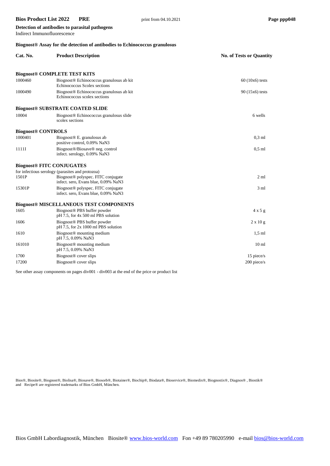Indirect Immunofluorescence

**Detection of antibodies to parasital pathogens**

## **Biognost® Assay for the detection of antibodies to Echinococcus granulosus**

| Cat. No.                  | <b>Product Description</b>                                                             | <b>No. of Tests or Quantity</b> |
|---------------------------|----------------------------------------------------------------------------------------|---------------------------------|
|                           | <b>Biognost® COMPLETE TEST KITS</b>                                                    |                                 |
| 1000460                   | Biognost® Echinococcus granulosus ab kit<br>Echinococcus Scolex sections               | $60(10x6)$ tests                |
| 1000490                   | Biognost® Echinococcus granulosus ab kit<br>Echinococcus scolex sections               | 90 (15x6) tests                 |
|                           | <b>Biognost® SUBSTRATE COATED SLIDE</b>                                                |                                 |
| 10004                     | Biognost <sup>®</sup> Echinococcus granulosus slide<br>scolex sections                 | 6 wells                         |
| <b>Biognost® CONTROLS</b> |                                                                                        |                                 |
| 1000401                   | Biognost <sup>®</sup> E. granulosus ab<br>positive control, 0.09% NaN3                 | $0.3$ ml                        |
| 1111I                     | Biognost®/Biosave® neg. control<br>infect. serology, 0.09% NaN3                        | $0.5$ ml                        |
|                           | <b>Biognost® FITC CONJUGATES</b>                                                       |                                 |
|                           | for infectious serology (parasites and protozoa)                                       |                                 |
| 1501P                     | Biognost <sup>®</sup> polyspec. FITC conjugate<br>infect. sero, Evans blue, 0.09% NaN3 | $2 \text{ ml}$                  |
| 15301P                    | Biognost <sup>®</sup> polyspec. FITC conjugate<br>infect. sero, Evans blue, 0.09% NaN3 | 3 <sub>ml</sub>                 |
|                           | <b>Biognost® MISCELLANEOUS TEST COMPONENTS</b>                                         |                                 |
| 1605                      | Biognost <sup>®</sup> PBS buffer powder<br>pH 7.5, for 4x 500 ml PBS solution          | $4 \times 5$ g                  |
| 1606                      | Biognost <sup>®</sup> PBS buffer powder<br>$pH$ 7.5, for 2x 1000 ml PBS solution       | $2 \times 10 g$                 |
| 1610                      | Biognost <sup>®</sup> mounting medium<br>pH 7.5, 0.09% NaN3                            | $1.5$ ml                        |
| 161010                    | Biognost <sup>®</sup> mounting medium<br>pH 7.5, 0.09% NaN3                            | 10 <sub>ml</sub>                |
| 1700                      | Biognost <sup>®</sup> cover slips                                                      | 15 piece/s                      |
| 17200                     | Biognost <sup>®</sup> cover slips                                                      | 200 piece/s                     |

See other assay components on pages div001 - div003 at the end of the price or product list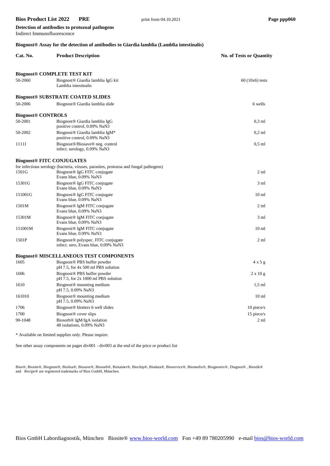Indirect Immunofluorescence

**Detection of antibodies to protozoal pathogens**

## **Biognost® Assay for the detection of antibodies to Giardia lamblia (Lamblia intestinalis)**

| Cat. No.                         | <b>Product Description</b>                                                                                                                                  | <b>No. of Tests or Quantity</b> |
|----------------------------------|-------------------------------------------------------------------------------------------------------------------------------------------------------------|---------------------------------|
|                                  | <b>Biognost® COMPLETE TEST KIT</b>                                                                                                                          |                                 |
| 50-2060                          | Biognost <sup>®</sup> Giardia lamblia IgG kit<br>Lamblia intestinalis                                                                                       | $60(10x6)$ tests                |
|                                  | <b>Biognost® SUBSTRATE COATED SLIDES</b>                                                                                                                    |                                 |
| 50-2006                          | Biognost <sup>®</sup> Giardia lamblia slide                                                                                                                 | 6 wells                         |
| <b>Biognost® CONTROLS</b>        |                                                                                                                                                             |                                 |
| 50-2001                          | Biognost <sup>®</sup> Giardia lamblia IgG<br>positive control, 0.09% NaN3                                                                                   | $0.3$ ml                        |
| 50-2002                          | Biognost® Giardia lamblia IgM*<br>positive control, 0.09% NaN3                                                                                              | $0.2$ ml                        |
| 1111I                            | Biognost <sup>®</sup> /Biosave <sup>®</sup> neg. control<br>infect. serology, 0.09% NaN3                                                                    | $0.5$ ml                        |
| <b>Biognost® FITC CONJUGATES</b> |                                                                                                                                                             |                                 |
| 1501G                            | for infectious serology (bacteria, viruses, parasites, protozoa and fungal pathogens)<br>Biognost <sup>®</sup> IgG FITC conjugate<br>Evans blue, 0.09% NaN3 | $2 \text{ ml}$                  |
| 15301G                           | Biognost <sup>®</sup> IgG FITC conjugate<br>Evans blue, 0.09% NaN3                                                                                          | $3 \text{ ml}$                  |
| 151001G                          | Biognost <sup>®</sup> IgG FITC conjugate<br>Evans blue, 0.09% NaN3                                                                                          | 10 <sub>ml</sub>                |
| 1501M                            | Biognost <sup>®</sup> IgM FITC conjugate<br>Evans blue, 0.09% NaN3                                                                                          | $2 \text{ ml}$                  |
| 15301M                           | Biognost <sup>®</sup> IgM FITC conjugate<br>Evans blue, 0.09% NaN3                                                                                          | $3 \text{ ml}$                  |
| 151001M                          | Biognost <sup>®</sup> IgM FITC conjugate<br>Evans blue, 0.09% NaN3                                                                                          | 10 <sub>ml</sub>                |
| 1501P                            | Biognost <sup>®</sup> polyspec. FITC conjugate<br>infect. sero, Evans blue, 0.09% NaN3                                                                      | 2 <sub>ml</sub>                 |
|                                  | <b>Biognost® MISCELLANEOUS TEST COMPONENTS</b>                                                                                                              |                                 |
| 1605                             | Biognost <sup>®</sup> PBS buffer powder<br>pH 7.5, for 4x 500 ml PBS solution                                                                               | $4 \times 5$ g                  |
| 1606                             | Biognost <sup>®</sup> PBS buffer powder<br>$pH$ 7.5, for 2x 1000 ml PBS solution                                                                            | $2 \times 10 g$                 |
| 1610                             | Biognost <sup>®</sup> mounting medium<br>pH 7.5, 0.09% NaN3                                                                                                 | $1.5$ ml                        |
| 161010                           | Biognost <sup>®</sup> mounting medium<br>pH 7.5, 0.09% NaN3                                                                                                 | 10 <sub>ml</sub>                |
| 1706                             | Biognost <sup>®</sup> blotters 6 well slides                                                                                                                | 10 piece/s                      |
| 1700                             | Biognost <sup>®</sup> cover slips                                                                                                                           | 15 piece/s                      |
| 90-1048                          | Biosorb® IgM/IgA isolation<br>48 isolations, 0.09% NaN3                                                                                                     | 2 <sub>m1</sub>                 |

\* Available on limited supplies only. Please inquire.

See other assay components on pages div001 - div003 at the end of the price or product list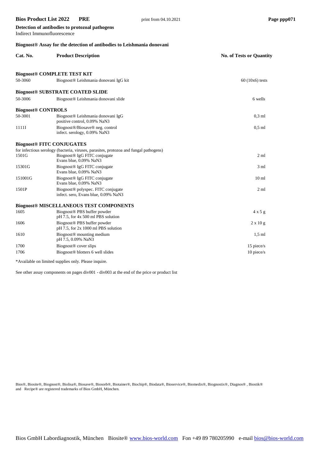## **Bios Product List 2022 PRE** print from 04.10.2021 **Page ppp071** Page ppp071 **Detection of antibodies to protozoal pathogens** Indirect Immunofluorescence **Biognost® Assay for the detection of antibodies to Leishmania donovani Cat. No. Product Description No. of Tests or Quantity Biognost® COMPLETE TEST KIT**

50-3060 Biognost® Leishmania donovani IgG kit 60 (10x6) tests

**Biognost® SUBSTRATE COATED SLIDE** 50-3006 Biognost® Leishmania donovani slide 6 wells **Biognost® CONTROLS** 50-3001 Biognost® Leishmania donovani IgG 0,3 ml positive control, 0.09% NaN3 1111I Biognost®/Biosave® neg. control 0,5 ml infect. serology, 0.09% NaN3 **Biognost® FITC CONJUGATES** for infectious serology (bacteria, viruses, parasites, protozoa and fungal pathogens)<br>1501G Biognost® IgG FITC conjugate 1501G Biognost® IgG FITC conjugate 2 ml Evans blue, 0.09% NaN3 15301G Biognost® IgG FITC conjugate 3 ml Evans blue, 0.09% NaN3 151001G Biognost® IgG FITC conjugate 10 ml Evans blue, 0.09% NaN3 1501P Biognost® polyspec. FITC conjugate 2 ml infect. sero, Evans blue, 0.09% NaN3 **Biognost® MISCELLANEOUS TEST COMPONENTS** 1605 Biognost® PBS buffer powder 4 x 5 g pH 7.5, for 4x 500 ml PBS solution 1606 Biognost® PBS buffer powder 2 x 10 g pH 7.5, for 2x 1000 ml PBS solution 1610 Biognost® mounting medium 1,5 ml pH 7.5, 0.09% NaN3 1700 Biognost® cover slips 15 piece/s 1706 Biognost® blotters 6 well slides 10 piece/s 10 piece/s

\*Available on limited supplies only. Please inquire.

See other assay components on pages div001 - div003 at the end of the price or product list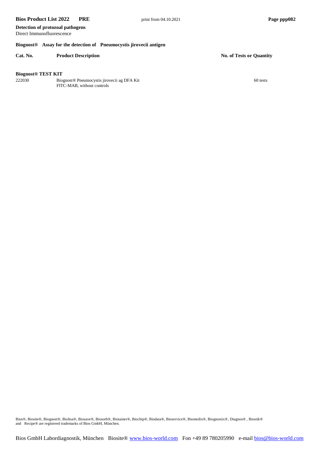**Detection of protozoal pathogens** Direct Immunofluorescence

#### **Biognost® Assay for the detection of Pneumocystis jirovecii antigen**

#### **Cat. No. Product Description No. of Tests or Quantity**

#### **Biognost® TEST KIT**

222030 Biognost® Pneumocystis jirovecii ag DFA Kit 60 tests FITC-MAB, without controls

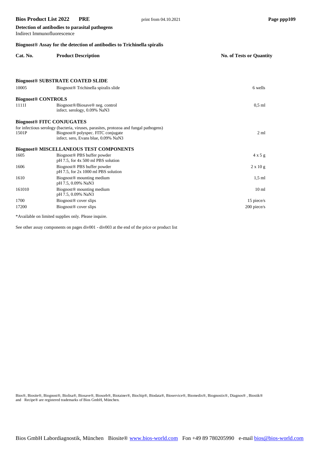Indirect Immunofluorescence

**Detection of antibodies to parasital pathogens**

## **Biognost® Assay for the detection of antibodies to Trichinella spiralis**

| Cat. No.                         | <b>Product Description</b>                                                                                                                                                      | <b>No. of Tests or Quantity</b> |
|----------------------------------|---------------------------------------------------------------------------------------------------------------------------------------------------------------------------------|---------------------------------|
|                                  |                                                                                                                                                                                 |                                 |
|                                  | <b>Biognost® SUBSTRATE COATED SLIDE</b>                                                                                                                                         |                                 |
| 10005                            | Biognost <sup>®</sup> Trichinella spiralis slide                                                                                                                                | 6 wells                         |
| <b>Biognost® CONTROLS</b>        |                                                                                                                                                                                 |                                 |
| 1111I                            | Biognost <sup>®</sup> /Biosave <sup>®</sup> neg. control<br>infect. serology, 0.09% NaN3                                                                                        | $0.5$ ml                        |
| <b>Biognost® FITC CONJUGATES</b> |                                                                                                                                                                                 |                                 |
| 1501P                            | for infectious serology (bacteria, viruses, parasites, protozoa and fungal pathogens)<br>Biognost <sup>®</sup> polyspec. FITC conjugate<br>infect. sero, Evans blue, 0.09% NaN3 | 2 <sub>m1</sub>                 |
|                                  | <b>Biognost® MISCELLANEOUS TEST COMPONENTS</b>                                                                                                                                  |                                 |
| 1605                             | Biognost <sup>®</sup> PBS buffer powder<br>pH 7.5, for 4x 500 ml PBS solution                                                                                                   | $4 \times 5$ g                  |
| 1606                             | Biognost <sup>®</sup> PBS buffer powder<br>pH 7.5, for 2x 1000 ml PBS solution                                                                                                  | $2 \times 10 g$                 |
| 1610                             | Biognost <sup>®</sup> mounting medium<br>pH 7.5, 0.09% NaN3                                                                                                                     | $1.5$ ml                        |
| 161010                           | Biognost <sup>®</sup> mounting medium<br>pH 7.5, 0.09% NaN3                                                                                                                     | 10 <sub>ml</sub>                |
| 1700                             | Biognost <sup>®</sup> cover slips                                                                                                                                               | 15 piece/s                      |
| 17200                            | Biognost <sup>®</sup> cover slips                                                                                                                                               | 200 piece/s                     |

\*Available on limited supplies only. Please inquire.

See other assay components on pages div001 - div003 at the end of the price or product list